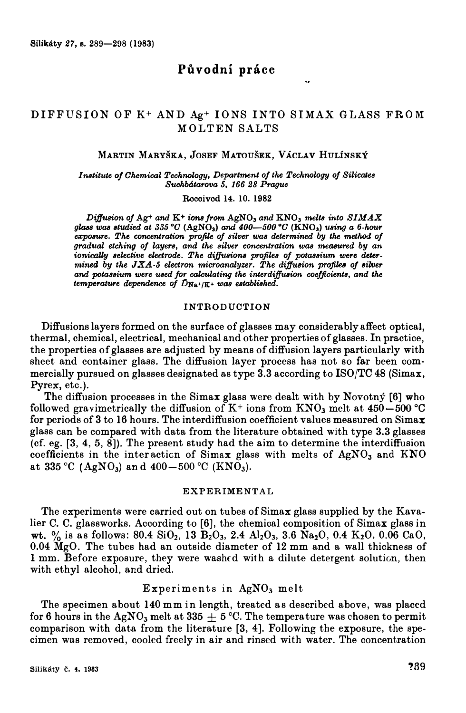# DIF FUSION OF K+ AND Ag+ IONS INTO SIMAX GLASS FROM M OLTEN SALTS

# **MARTIN MARYŠKA, JOSEF MATOUŠEK, VÁCLAV HULÍNSKÝ**

*Institute o/ Ohemical Technology, Department of ťhe Technology of Silicatu StuJhbátarova 5, 166 28 Prague* 

**Received 14. 10. 1982** 

*Diffusion of Ag*<sup>+</sup> *and K<sup>+</sup> <i>ions from AgNO<sub>3</sub></sub> <i>and KNO<sub>3</sub></sub> <i>melts into SIMAX gla8B Wa8 studied at 335* **°0 (AgN0**3) *and 400-500* **°0 (KN0**3) *ming a 6-hour*  exposure. The concentration profile of silver was determined by the method of *gradtlal etching of layera, and the silver concentration was mea8Ured by an*  ionically selective electrode. The diffusions profiles of potassium were deter $mined$  by the  $JXA-5$  electron microanalyzer. The diffusion profiles of silver *and pota8sium were used for calculating the interdijJuaion coefficienta, and the temperature dependence oj DNa+/K+ waa established.* 

## **INTRODUCTION**

Diffusions layers formed on the surface of glasses may considerably affect optical, thermal, chemical, electrical, mechanical and other properties of glasses. In practice, the properties of glasses are adjusted by means of diffusion layers particularly with sheet and container glass. The diffusion layer process has not so far been commercially pursued on glasses designated as type  $3.3$  according to ISO/TC 48 (Simax, Pyrex, etc.).

The diffusion processes in the Simax glass were dealt with by Novotný [6] who followed gravimetrically the diffusion of K+ ions from KN0**3** melt at 450-500 °C for periods of 3 to 16 hours. The interdiffusion coefficient values measured on Simax glass can be compared with data from the literature obtained with type 3.3 glasses (cf. eg. [3, 4, 5, 8]). The present study had the aim to determine the interdiffusion coefficients in the inter acticn of Simax glass with melts of AgN0**3** and KNO at  $335 \text{ °C}$  (AgNO<sub>3</sub>) and  $400-500 \text{ °C}$  (KNO<sub>3</sub>).

# EXPERIMENTAL

The experiments were carried out on tubes of Simax glass supplied by the Kavalier C. C. glassworks. According to [6], the chemioal composition of Simax glass in wt. % is as follows:  $80.4 \text{ SiO}_2$ ,  $13 \text{ B}_2\text{O}_3$ ,  $2.4 \text{ Al}_2\text{O}_3$ ,  $3.6 \text{ Na}_2\text{O}$ ,  $0.4 \text{ K}_2\text{O}$ ,  $0.06 \text{ CaO}$ ,  $0.04$  MgO. The tubes had an outside diameter of 12 mm and a wall thickness of 1 mm. Before exposure, they were washed with a dilute detergent solution, then with ethyl alcohol, and dried.

# Experiments in AgN0**3** melt

The specimen about 140 mm in length, treated as described above, was placed for 6 hours in the AgNO<sub>3</sub> melt at 335  $\pm$  5 °C. The temperature was chosen to permit comparison with data from the literature [3, 4]. Following the exposure, the specimen was removed, cooled freely in air and rinsed with water. The concentration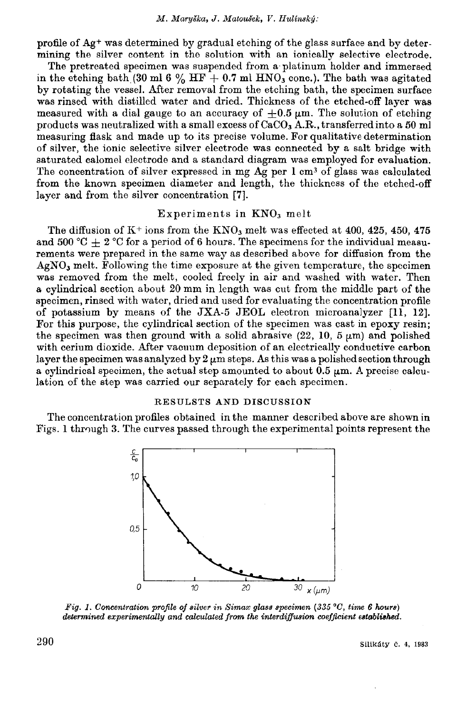profile of Ag<sup>+</sup> was determined by gradual etching of the glass surface and by determining the silver content in the solution with an ionically selective electrode.

The pretreated specimen was suspended from a platinum holder and immersed in the etching bath (30 ml 6 % HF + 0.7 ml HNO<sub>3</sub> conc.). The bath was agitated by rotating the vessel. After removal from the etching bath, the specimen surface was rinsed with distilled water and dried. Thickness of the etched-off layer was measured with a dial gauge to an accuracy of  $\pm 0.5 \mu$ m. The solution of etching products was neutralized with a small excess of  $CaCO<sub>3</sub>$  A.R., transferred into a 50 ml measuring flask and made up to its precise volume. For qualitative determination of silver, the ionic selective silver electrode was connected by a salt bridge with saturated calomel electrode and a standard diagram was employed for evaluation. The concentration of silver expressed in mg Ag per 1 cm<sup>3</sup> of glass was calculated from the known specimen diameter and length, the thickness of the etched-off layer and from the silver concentration [7].

# Experiments in KNO<sub>3</sub> melt

The diffusion of  $K^+$  ions from the  $KNO_3$  melt was effected at 400, 425, 450, 475 and 500 °C + 2 °C for a period of 6 hours. The specimens for the individual measurements were prepared in the same way as described above for diffusion from the  $AgNO<sub>3</sub>$  melt. Following the time exposure at the given temperature, the specimen was removed from the melt, cooled freely in air and washed with water. Then a cylindrical section about 20 mm in length was cut from the middle part of the specimen, rinsed with water, dried and used for evaluating the concentration profile of potassium by means of the JXA-5 JEOL electron microanalyzer [11, 12]. For this purpose, the cylindrical section of the specimen was cast in epoxy resin; the specimen was then ground with a solid abrasive  $(22, 10, 5 \mu m)$  and polished with cerium dioxide. After vacuum deposition of an electrically conductive carbon laver the specimen was analyzed by  $2 \mu m$  steps. As this was a polished section through a cylindrical specimen, the actual step amounted to about  $0.5 \mu m$ . A precise calculation of the step was carried our separately for each specimen.

### RESULSTS AND DISCUSSION

The concentration profiles obtained in the manner described above are shown in Figs. 1 through 3. The curves passed through the experimental points represent the



Fig. 1. Concentration profile of silver in Simax glass specimen (335 °C, time 6 hours) determined experimentally and calculated from the interdiffusion coefficient established.

Silikáty č. 4, 1983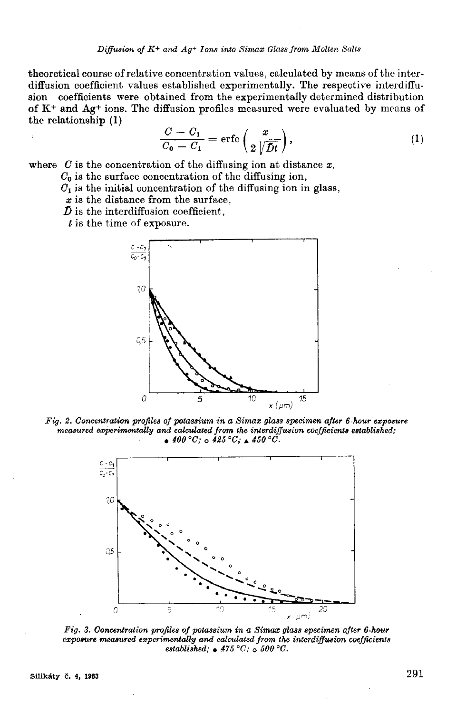theoretical course of relative concentration values, calculated by means of the interdiffusion coefficient values established experimentally. The respective interdiffusion coefficients were obtained from the experimentally determined distribution of K<sup>+</sup> and Ag<sup>+</sup> ions. The diffusion profiles measured were evaluated by means of the relationship (1)

$$
\frac{C - C_1}{C_0 - C_1} = \text{erfc}\left(\frac{x}{2\sqrt{Dt}}\right),\tag{1}
$$

where  $C$  is the concentration of the diffusing ion at distance  $x$ ,

 $C_0$  is the surface concentration of the diffusing ion,

 $C_1$  is the initial concentration of the diffusing ion in glass,

 $x$  is the distance from the surface,

 $\tilde{D}$  is the interdiffusion coefficient.

 $t$  is the time of exposure.



 $Fig. 2.$  Concentration profiles of potassium in a Simax glass specimen after 6-hour exposure measured experimentally and calculated from the interdiffusion coefficients established;  $\bullet$  400 °C;  $\circ$  425 °C;  $\bullet$  450 °C.



Fig. 3. Concentration profiles of potassium in a Simax glass specimen after 6-hour exposure measured experimentally and calculated from the interdiffusion coefficients established;  $\bullet$  475 °C;  $\circ$  500 °C.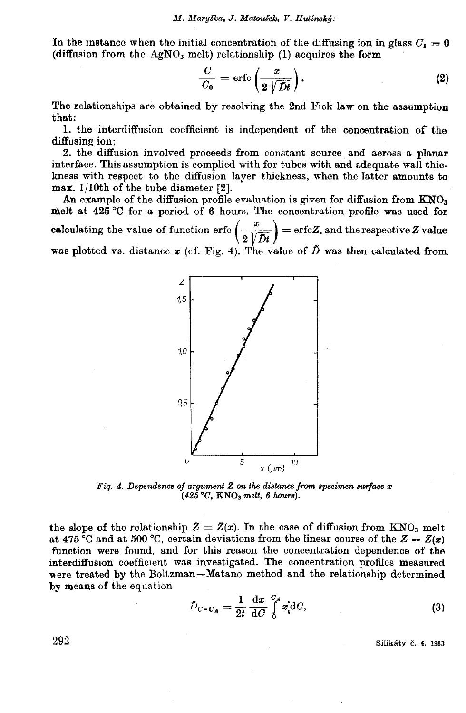In the instance when the initial concentration of the diffusing ion in glass  $C_1 = 0$ (diffusion from the  $AgNO<sub>3</sub>$  melt) relationship (1) acquires the form

$$
\frac{C}{C_0} = \text{erfc}\left(\frac{x}{2\sqrt{Dt}}\right). \tag{2}
$$

The relationships are obtained by resolving the 2nd Fick law on the assumption that:

1. the interdiffusion coefficient is independent of the concentration of the diffusing ion:

2. the diffusion involved proceeds from constant source and aeross a planar interface. This assumption is complied with for tubes with and adequate wall thickness with respect to the diffusion layer thickness, when the latter amounts to  $max. 1/10th$  of the tube diameter [2].

An example of the diffusion profile evaluation is given for diffusion from KNO3 melt at  $425^{\circ}$ C for a period of 6 hours. The concentration profile was used for calculating the value of function erfc  $\left(\frac{x}{2\sqrt{Dt}}\right)$  = erfcZ, and the respective Z value was plotted vs. distance  $x$  (cf. Fig. 4). The value of  $\tilde{D}$  was then calculated from



Fig. 4. Dependence of argument Z on the distance from specimen surface x  $(425 °C, KNO<sub>3</sub> melt, 6 hours).$ 

the slope of the relationship  $Z = Z(x)$ . In the case of diffusion from KNO<sub>3</sub> melt at 475 °C and at 500 °C, certain deviations from the linear course of the  $Z = Z(x)$ function were found, and for this reason the concentration dependence of the interdiffusion coefficient was investigated. The concentration profiles measured were treated by the Boltzman-Matano method and the relationship determined by means of the equation

$$
\hat{D}_{C-C_A} = \frac{1}{2t} \frac{\mathrm{d}x}{\mathrm{d}C} \int_0^{C_A} x_d \mathrm{d}C,\tag{3}
$$

Silikáty č. 4, 1983

292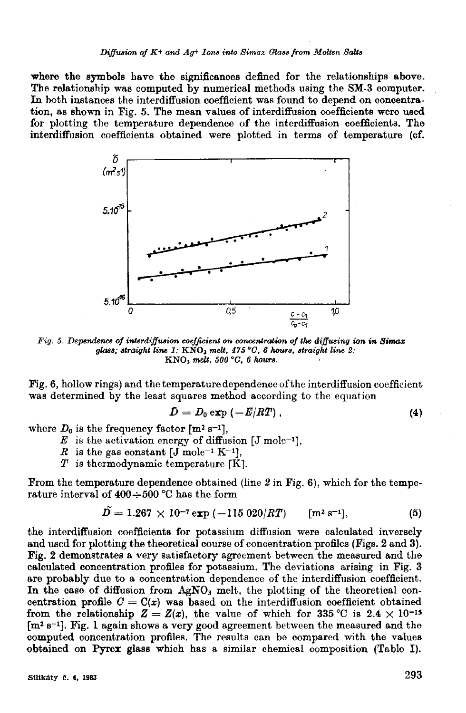where the symbols have the significances defined for the relationships above. The relationship was computed by numerical methods using the SM-3 computer. In both instances the interdiffusion coefficient was found to depend on concentration, as shown in Fig. 5. The mean values of interdiffusion coefficients were used for plotting the temperature dependence of the interdiffusion coefficients. The interdiffusion coefficients obtained were plotted in terms of temperature (cf.



Fig. 5. Dependence of interdiffusion coefficient on concentration of the diffusing ion in Simax glass; straight line 1:  $\text{KNO}_3$  melt, 475 °C, 6 hours, straight line 2:  $KNO<sub>3</sub>$  melt, 500 °C, 6 hours.

Fig. 6, hollow rings) and the temperature dependence of the interdiffusion coefficient was determined by the least squares method according to the equation

$$
D = D_0 \exp\left(-E/RT\right),\tag{4}
$$

where  $D_0$  is the frequency factor  $[m^2 s^{-1}]$ ,

- $E$  is the activation energy of diffusion [J mole<sup>-1</sup>],
- R is the gas constant  $[J \text{ mole}^{-1} \text{K}^{-1}].$
- $T$  is thermodynamic temperature  $[K]$ .

From the temperature dependence obtained (line  $2$  in Fig. 6), which for the temperature interval of  $400 \div 500$  °C has the form

$$
D = 1.267 \times 10^{-7} \exp(-115 \ 020/RT) \qquad [m^2 s^{-1}], \qquad (5)
$$

the interdiffusion coefficients for potassium diffusion were calculated inversely and used for plotting the theoretical course of concentration profiles (Figs. 2 and 3). Fig. 2 demonstrates a very satisfactory agreement between the measured and the calculated concentration profiles for potassium. The deviations arising in Fig. 3 are probably due to a concentration dependence of the interdiffusion coefficient. In the case of diffusion from AgNO<sub>3</sub> melt, the plotting of the theoretical concentration profile  $C = C(x)$  was based on the interdiffusion coefficient obtained from the relationship  $Z = Z(x)$ , the value of which for 335 °C is 2.4 × 10<sup>-15</sup>  $[m<sup>2</sup> s<sup>-1</sup>]$ . Fig. 1 again shows a very good agreement between the measured and the computed concentration profiles. The results can be compared with the values obtained on Pyrex glass which has a similar chemical composition (Table I).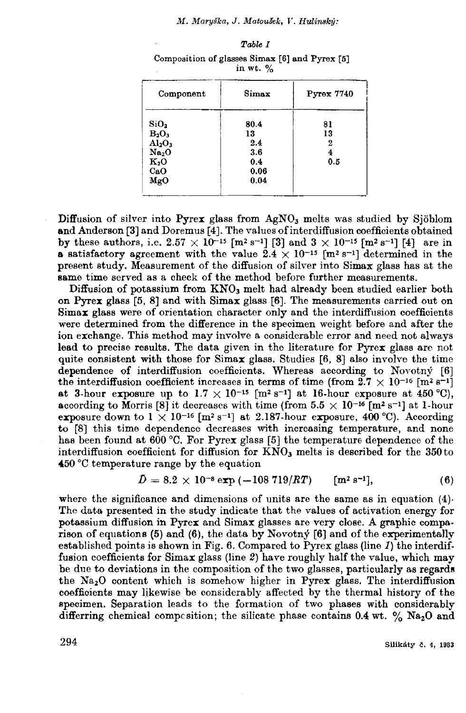#### M. Maryška, J. Matoušek, V. Hulínský:

| Component                      | Simax | <b>Pyrex 7740</b> |
|--------------------------------|-------|-------------------|
| SiO <sub>2</sub>               | 80.4  | 81                |
| $B_2O_3$                       | 13    | 13                |
| Al <sub>2</sub> O <sub>3</sub> | 2.4   | 2                 |
| Na <sub>2</sub> O              | 3.6   | 4                 |
| K <sub>2</sub> O               | 0.4   | 0.5               |
| CaO                            | 0.06  |                   |
| MgO                            | 0.04  |                   |

Composition of glasses Simax [6] and Pyrex [5] in  $wt.$  %

Diffusion of silver into  $P_{\text{Yrex}}$  glass from  $AgNO_3$  melts was studied by Sjöblom and Anderson [3] and Doremus [4]. The values of interdiffusion coefficients obtained by these authors, i.e.  $2.57 \times 10^{-15}$  [m<sup>2</sup> s<sup>-1</sup>] [3] and  $3 \times 10^{-15}$  [m<sup>2</sup> s<sup>-1</sup>] [4] are in **a** satisfactory agreement with the value  $2.4 \times 10^{-15}$  [m<sup>2</sup> s<sup>-1</sup>] determined in the present study. Measurement of the diffusion of silver into Simax glass has at the same time served as a check of the method before further measurements.

Diffusion of potassium from KNO<sub>3</sub> melt had already been studied earlier both on Pyrex glass [5, 8] and with Simax glass [6]. The measurements carried out on Simax glass were of orientation character only and the interdiffusion coefficients were determined from the difference in the specimen weight before and after the ion exchange. This method may involve a considerable error and need not always lead to precise results. The data given in the literature for Pyrex glass are not quite consistent with those for  $Simax$  glass. Studies [6, 8] also involve the time dependence of interdiffusion coefficients. Whereas according to Novotný [6] the interdiffusion coefficient increases in terms of time (from  $2.7 \times 10^{-16}$  [m<sup>2</sup> s<sup>-1</sup>] at 3-hour exposure up to  $1.7 \times 10^{-15}$  [m<sup>2</sup> s<sup>-1</sup>] at 16-hour exposure at 450 °C). according to Morris [8] it decreases with time (from  $5.5 \times 10^{-16}$  [m<sup>2</sup> s<sup>-1</sup>] at 1-hour exposure down to  $1 \times 10^{-16}$  [m<sup>2</sup> s<sup>-1</sup>] at 2.187-hour exposure, 400 °C). According to [8] this time dependence decreases with increasing temperature, and none has been found at 600 °C. For Pyrex glass [5] the temperature dependence of the interdiffusion coefficient for diffusion for KNO<sub>3</sub> melts is described for the 350 to 450 °C temperature range by the equation

$$
\bar{D} = 8.2 \times 10^{-8} \exp(-108719/RT) \qquad [m^2 s^{-1}], \qquad (6)
$$

where the significance and dimensions of units are the same as in equation  $(4)$ . The data presented in the study indicate that the values of activation energy for potassium diffusion in Pyrex and Simax glasses are very close. A graphic comparison of equations (5) and (6), the data by Novotn $\circ$  [6] and of the experimentally established points is shown in Fig. 6. Compared to Pyrex glass (line  $I$ ) the interdiffusion coefficients for Simax glass (line 2) have roughly half the value, which may be due to deviations in the composition of the two glasses, particularly as regards the Na<sub>2</sub>O content which is somehow higher in Pyrex glass. The interdiffusion coefficients may likewise be considerably affected by the thermal history of the specimen. Separation leads to the formation of two phases with considerably differring chemical composition; the silicate phase contains  $0.4$  wt. % Na<sub>2</sub>O and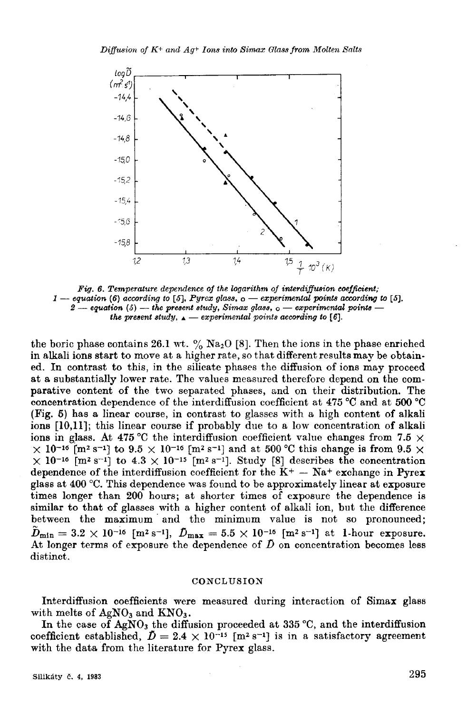

Fig. 6. Temperature dependence of the logarithm of interdiffusion coefficient;  $1$  — equation (6) according to [5], Pyrex glass,  $o$  — experimental points according to [5], 2 - equation (5) - the present study, Simax glass,  $\circ$  - experimental points the present study,  $\Delta$  — experimental points according to [6].

the boric phase contains 26.1 wt.  $\frac{9}{6}$  Na<sub>2</sub>O [8]. Then the ions in the phase enriched in alkali ions start to move at a higher rate, so that different results may be obtained. In contrast to this, in the silicate phases the diffusion of ions may proceed at a substantially lower rate. The values measured therefore depend on the comparative content of the two separated phases, and on their distribution. The concentration dependence of the interdiffusion coefficient at 475  $\degree$ C and at 500  $\degree$ C (Fig. 5) has a linear course, in contrast to glasses with a high content of alkali ions [10,11]; this linear course if probably due to a low concentration of alkali ions in glass. At 475 °C the interdiffusion coefficient value changes from 7.5  $\times$  $\times$  10<sup>-16</sup> [m<sup>2</sup> s<sup>-1</sup>] to 9.5  $\times$  10<sup>-16</sup> [m<sup>2</sup> s<sup>-1</sup>] and at 500 °C this change is from 9.5  $\times$  $\times$  10<sup>-16</sup> [m<sup>2</sup> s<sup>-1</sup>] to 4.3 × 10<sup>-15</sup> [m<sup>2</sup> s<sup>-1</sup>]. Study [8] describes the concentration dependence of the interdiffusion coefficient for the  $K^+$  - Na<sup>+</sup> exchange in Pyrex glass at 400 °C. This dependence was found to be approximately linear at exposure times longer than 200 hours; at shorter times of exposure the dependence is similar to that of glasses with a higher content of alkali ion, but the difference between the maximum and the minimum value is not so pronounced;  $\tilde{D}_{\text{min}} = 3.2 \times 10^{-16}$  [m<sup>2</sup> s<sup>-1</sup>],  $\tilde{D}_{\text{max}} = 5.5 \times 10^{-16}$  [m<sup>2</sup> s<sup>-1</sup>] at 1-hour exposure. At longer terms of exposure the dependence of  $\tilde{D}$  on concentration becomes less distinct.

## CONCLUSION

Interdiffusion coefficients were measured during interaction of Simax glass with melts of  $AgNO<sub>3</sub>$  and  $KNO<sub>3</sub>$ .

In the case of AgNO<sub>3</sub> the diffusion proceeded at 335 °C, and the interdiffusion coefficient established,  $\tilde{D} = 2.4 \times 10^{-15}$  [m<sup>2</sup> s<sup>-1</sup>] is in a satisfactory agreement with the data from the literature for Pyrex glass.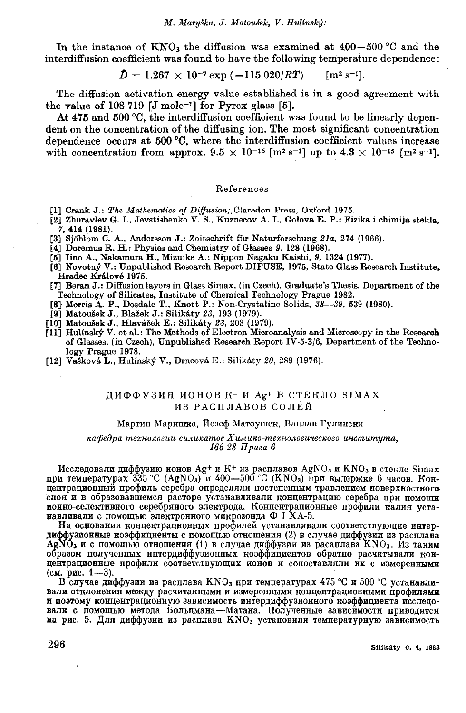In the instance of  $KNO_3$  the diffusion was examined at 400–500 °C and the interdiffusion coefficient was found to have the following temperature dependence:

$$
\bar{D} = 1.267 \times 10^{-7} \exp(-115.020/RT) \qquad [m^2 s^{-1}].
$$

The diffusion activation energy value established is in a good agreement with the value of 108 719  $[J \text{ mole}^{-1}]$  for Pyrex glass  $[5]$ .

At 475 and 500 °C, the interdiffusion coefficient was found to be linearly dependent on the concentration of the diffusing ion. The most significant concentration dependence occurs at 500 °C, where the interdiffusion coefficient values increase with concentration from approx.  $9.5 \times 10^{-16}$  [m<sup>2</sup> s<sup>-1</sup>] up to  $4.3 \times 10^{-15}$  [m<sup>2</sup> s<sup>-1</sup>].

#### References

- [1] Crank J.: The Mathematics of Diffusion; Claredon Press, Oxford 1975.
- [2] Zhuravlev G. I., Jevstishenko V. S., Kuznecov A. I., Golova E. P.: Fizika i chimija stekla. 7, 414 (1981).
- [3] Sjöblom C. A., Andersson J.: Zeitschrift für Naturforschung 21a, 274 (1966).
- [4] Doremus R. H.: Physics and Chemistry of Glasses 9, 128 (1968).
- [5] Iino A., Nakamura H., Mizuike A.: Nippon Nagaku Kaishi, 9, 1324 (1977).
- [6] Novotný V.: Unpublished Research Report DIFUSE, 1975, State Glass Research Institute, Hradec Králové 1975.
- [7] Beran J.: Diffusion layers in Glass Simax, (in Czech), Graduate's Thesis, Department of the Technology of Silicates, Institute of Chemical Technology Prague 1982.<br>
[8] Morris A. P., Dosdale T., Knott P.: Non-Crystaline Solids, 38—39, 539 (1980).<br>
[9] Matoušek J., Blažek J.: Silikáty 23, 193 (1979).
- 
- 
- [10] Matoušek J., Hlaváček E.: Silikáty 23, 203 (1979).
- [11] Hulinský V. et al.: The Methods of Electron Microanalysis and Microscopy in the Research of Glasses, (in Czech), Unpublished Research Report IV-5-3/6, Department of the Technology Prague 1978.
- [12] Vašková L., Hulínský V., Drncová E.: Silikáty 20, 289 (1976).

# ДИФФУЗИЯ ИОНОВ К<sup>+</sup> И Ag<sup>+</sup> В СТЕКЛО SIMAX ИЗ РАСПЛАВОВ СОЛЕЙ

#### Мартин Маришка, Йозеф Матоушек, Вацлав Гулински

### кафедра технологии силикатов Химико-технологического института, 166 28 Прага 6

Исследовали диффузию ионов Ag<sup>+</sup> и K<sup>+</sup> из расплавов AgNO<sub>3</sub> и KNO<sub>3</sub> в стекле Simax при температурах 335 °C (AgNO<sub>3</sub>) и 400-500 °C (KNO<sub>3</sub>) при выдержке 6 часов. Концентрационный профиль серебра определяли постепенным травлением поверхностного слоя и в образовавшемся расторе устанавливали концентрацию серебра при помощи ионно-селективного серебряного электрода. Концентрационные профили калия устанавливали с помощью электронного микрозонда Ф Ј ХА-5.

На основании концентрационных профилей устанавливали соответствующие интердиффузионные коэффициенты с помощью отношения (2) в случае диффузии из расплава AgNO<sub>3</sub> и с помощью отношения (1) в случае диффузии из расаплава KNO<sub>3</sub>. Из таким образом полученных интердиффузионных коэффициентов обратно расчитывали концентрационные профили соответствующих ионов и сопоставляли их с измеренными (см. рис.  $1-3$ ).

В случае диффузии из расплава KNO<sub>3</sub> при температурах 475 °С и 500 °С устанавливали отклонения между расчитанными и измеренными концентрационными профилями и поэтому концентрационную зависимость интердиффузионного коэффициента исследовали с помощью метода Больцмана-Матана. Полученные зависимости приводятся на рис. 5. Для диффузии из расплава KNO<sub>3</sub> установили температурную зависимость